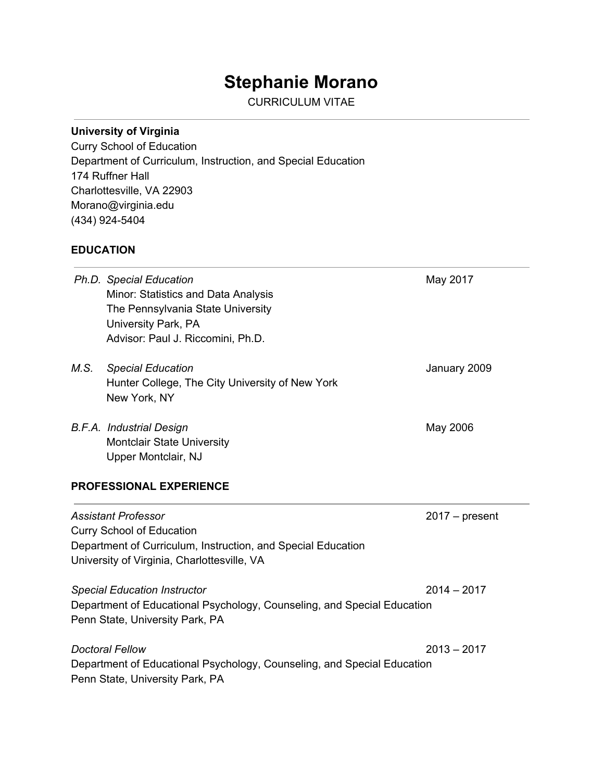# **Stephanie Morano**

CURRICULUM VITAE

## **University of Virginia**

Curry School of Education Department of Curriculum, Instruction, and Special Education 174 Ruffner Hall Charlottesville, VA 22903 Morano@virginia.edu (434) 924-5404

## **EDUCATION**

|                                                                                                                                      | Ph.D. Special Education<br>Minor: Statistics and Data Analysis<br>The Pennsylvania State University<br>University Park, PA<br>Advisor: Paul J. Riccomini, Ph.D.        | May 2017         |
|--------------------------------------------------------------------------------------------------------------------------------------|------------------------------------------------------------------------------------------------------------------------------------------------------------------------|------------------|
| M.S.                                                                                                                                 | <b>Special Education</b><br>Hunter College, The City University of New York<br>New York, NY                                                                            | January 2009     |
|                                                                                                                                      | <b>B.F.A.</b> Industrial Design<br><b>Montclair State University</b><br>Upper Montclair, NJ                                                                            | May 2006         |
|                                                                                                                                      | <b>PROFESSIONAL EXPERIENCE</b>                                                                                                                                         |                  |
|                                                                                                                                      | Assistant Professor<br><b>Curry School of Education</b><br>Department of Curriculum, Instruction, and Special Education<br>University of Virginia, Charlottesville, VA | $2017$ – present |
|                                                                                                                                      | <b>Special Education Instructor</b><br>Department of Educational Psychology, Counseling, and Special Education<br>Penn State, University Park, PA                      | $2014 - 2017$    |
| <b>Doctoral Fellow</b><br>Department of Educational Psychology, Counseling, and Special Education<br>Penn State, University Park, PA |                                                                                                                                                                        | $2013 - 2017$    |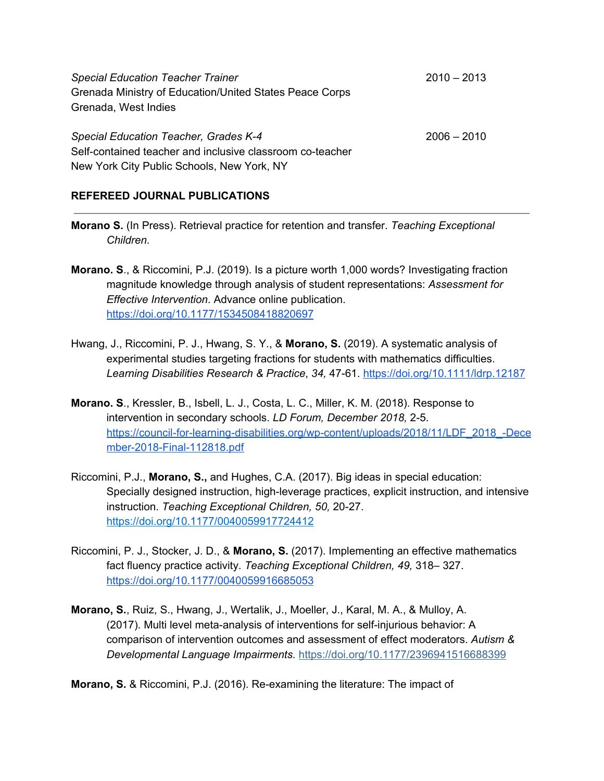| <b>Special Education Teacher Trainer</b>                  | $2010 - 2013$ |
|-----------------------------------------------------------|---------------|
| Grenada Ministry of Education/United States Peace Corps   |               |
| Grenada, West Indies                                      |               |
| <b>Special Education Teacher, Grades K-4</b>              | $2006 - 2010$ |
| Self-contained teacher and inclusive classroom co-teacher |               |

New York City Public Schools, New York, NY

## **REFEREED JOURNAL PUBLICATIONS**

- **Morano S.** (In Press). Retrieval practice for retention and transfer. *Teaching Exceptional Children.*
- **Morano. S**., & Riccomini, P.J. (2019). Is a picture worth 1,000 words? Investigating fraction magnitude knowledge through analysis of student representations: *Assessment for Effective Intervention*. Advance online publication[.](https://doi.org/10.1177/1534508418820697) <https://doi.org/10.1177/1534508418820697>
- Hwang, J., Riccomini, P. J., Hwang, S. Y., & **Morano, S.** (2019). A systematic analysis of experimental studies targeting fractions for students with mathematics difficulties. *Learning Disabilities Research & Practice*, *34,* 47-61[.](https://doi.org/10.1111/ldrp.12187) <https://doi.org/10.1111/ldrp.12187>
- **Morano. S**., Kressler, B., Isbell, L. J., Costa, L. C., Miller, K. M. (2018). Response to intervention in secondary schools. *LD Forum, December 2018,* 2-5. [https://council-for-learning-disabilities.org/wp-content/uploads/2018/11/LDF\\_2018\\_-Dece](https://council-for-learning-disabilities.org/wp-content/uploads/2018/11/LDF_2018_-December-2018-Final-112818.pdf) [mber-2018-Final-112818.pdf](https://council-for-learning-disabilities.org/wp-content/uploads/2018/11/LDF_2018_-December-2018-Final-112818.pdf)
- Riccomini, P.J., **Morano, S.,** and Hughes, C.A. (2017). Big ideas in special education: Specially designed instruction, high-leverage practices, explicit instruction, and intensive instruction. *Teaching Exceptional Children, 50,* 20-27. <https://doi.org/10.1177/0040059917724412>
- Riccomini, P. J., Stocker, J. D., & **Morano, S.** (2017). Implementing an effective mathematics fact fluency practice activity. *Teaching Exceptional Children, 49,* 318– 327[.](https://doi.org/10.1177/0040059916685053) <https://doi.org/10.1177/0040059916685053>
- **Morano, S.**, Ruiz, S., Hwang, J., Wertalik, J., Moeller, J., Karal, M. A., & Mulloy, A. (2017). Multi level meta-analysis of interventions for self-injurious behavior: A comparison of intervention outcomes and assessment of effect moderators. *Autism & Developmental Language Impairments.* [https://doi.org/10.1177/2396941516688399](https://doi.org/10.1177%2F2396941516688399)
- **Morano, S.** & Riccomini, P.J. (2016). Re-examining the literature: The impact of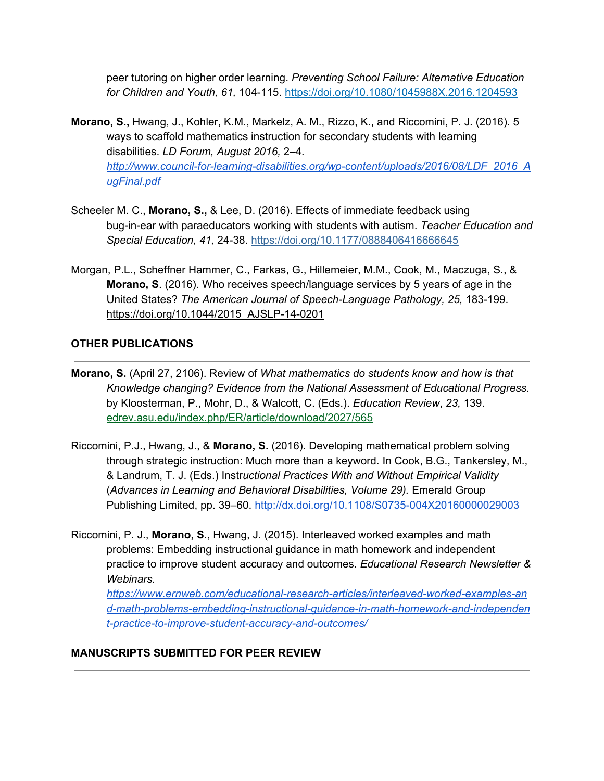peer tutoring on higher order learning. *Preventing School Failure: Alternative Education for Children and Youth, 61,* 104-115. <https://doi.org/10.1080/1045988X.2016.1204593>

- **Morano, S.,** Hwang, J., Kohler, K.M., Markelz, A. M., Rizzo, K., and Riccomini, P. J. (2016). 5 ways to scaffold mathematics instruction for secondary students with learning disabilities. *LD Forum, August 2016,* 2–4*[.](http://www.council-for-learning-disabilities.org/wp-content/uploads/2016/08/LDF_2016_AugFinal.pdf) [http://www.council-for-learning-disabilities.org/wp-content/uploads/2016/08/LDF\\_2016\\_A](http://www.council-for-learning-disabilities.org/wp-content/uploads/2016/08/LDF_2016_AugFinal.pdf) [ugFinal.pdf](http://www.council-for-learning-disabilities.org/wp-content/uploads/2016/08/LDF_2016_AugFinal.pdf)*
- Scheeler M. C., **Morano, S.,** & Lee, D. (2016). Effects of immediate feedback using bug-in-ear with paraeducators working with students with autism. *Teacher Education and Special Education, 41,* 24-38[.](https://doi.org/10.1177%2F0888406416666645) [https://doi.org/10.1177/0888406416666645](https://doi.org/10.1177%2F0888406416666645)
- Morgan, P.L., Scheffner Hammer, C., Farkas, G., Hillemeier, M.M., Cook, M., Maczuga, S., & **Morano, S**. (2016). Who receives speech/language services by 5 years of age in the United States? *The American Journal of Speech-Language Pathology, 25,* 183-199[.](https://doi.org/10.1044/2015_AJSLP-14-0201) [https://doi.org/10.1044/2015\\_AJSLP-14-0201](https://doi.org/10.1044/2015_AJSLP-14-0201)

## **OTHER PUBLICATIONS**

- **Morano, S.** (April 27, 2106). Review of *What mathematics do students know and how is that Knowledge changing? Evidence from the National Assessment of Educational Progress*. by Kloosterman, P., Mohr, D., & Walcott, C. (Eds.). *Education Review*, *23,* 139. [edrev.asu.edu/index.php/ER/article/download/2027/565](http://edrev.asu.edu/index.php/ER/article/download/2027/565)
- Riccomini, P.J., Hwang, J., & **Morano, S.** (2016). Developing mathematical problem solving through strategic instruction: Much more than a keyword. In Cook, B.G., Tankersley, M., & Landrum, T. J. (Eds.) Instr*uctional Practices With and Without Empirical Validity* (*Advances in Learning and Behavioral Disabilities, Volume 29).* Emerald Group Publishing Limited, pp. 39–60[.](http://dx.doi.org/10.1108/S0735-004X20160000029003) <http://dx.doi.org/10.1108/S0735-004X20160000029003>
- Riccomini, P. J., **Morano, S**., Hwang, J. (2015). Interleaved worked examples and math problems: Embedding instructional guidance in math homework and independent practice to improve student accuracy and outcomes. *Educational Research Newsletter & Webinars.*

*[https://www.ernweb.com/educational-research-articles/interleaved-worked-examples-an](https://www.ernweb.com/educational-research-articles/interleaved-worked-examples-and-math-problems-embedding-instructional-guidance-in-math-homework-and-independent-practice-to-improve-student-accuracy-and-outcomes/) [d-math-problems-embedding-instructional-guidance-in-math-homework-and-independen](https://www.ernweb.com/educational-research-articles/interleaved-worked-examples-and-math-problems-embedding-instructional-guidance-in-math-homework-and-independent-practice-to-improve-student-accuracy-and-outcomes/) [t-practice-to-improve-student-accuracy-and-outcomes/](https://www.ernweb.com/educational-research-articles/interleaved-worked-examples-and-math-problems-embedding-instructional-guidance-in-math-homework-and-independent-practice-to-improve-student-accuracy-and-outcomes/)*

## **MANUSCRIPTS SUBMITTED FOR PEER REVIEW**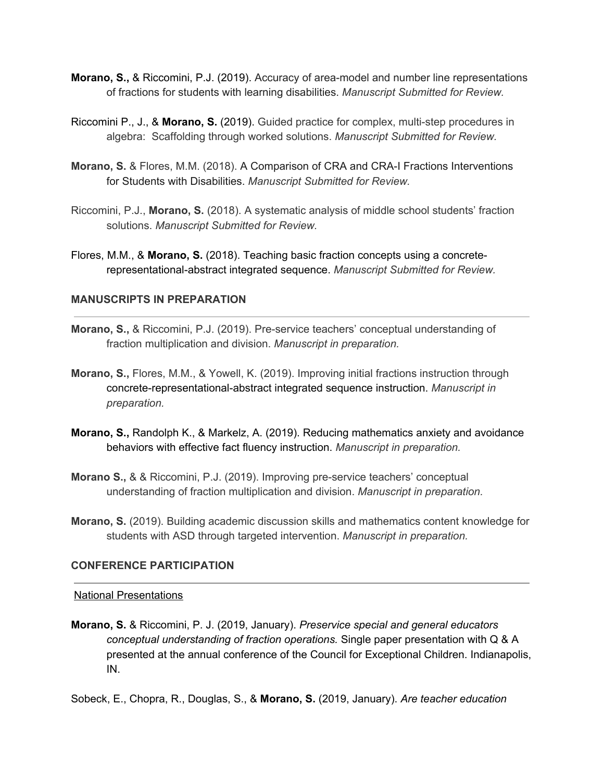- **Morano, S.,** & Riccomini, P.J. (2019). Accuracy of area-model and number line representations of fractions for students with learning disabilities. *Manuscript Submitted for Review.*
- Riccomini P., J., & **Morano, S.** (2019). Guided practice for complex, multi-step procedures in algebra: Scaffolding through worked solutions. *Manuscript Submitted for Review.*
- **Morano, S.** & Flores, M.M. (2018). A Comparison of CRA and CRA-I Fractions Interventions for Students with Disabilities. *Manuscript Submitted for Review.*
- Riccomini, P.J., **Morano, S.** (2018). A systematic analysis of middle school students' fraction solutions. *Manuscript Submitted for Review.*
- Flores, M.M., & **Morano, S.** (2018). Teaching basic fraction concepts using a concreterepresentational-abstract integrated sequence. *Manuscript Submitted for Review.*

## **MANUSCRIPTS IN PREPARATION**

- **Morano, S.,** & Riccomini, P.J. (2019). Pre-service teachers' conceptual understanding of fraction multiplication and division. *Manuscript in preparation.*
- **Morano, S.,** Flores, M.M., & Yowell, K. (2019). Improving initial fractions instruction through concrete-representational-abstract integrated sequence instruction. *Manuscript in preparation.*
- **Morano, S.,** Randolph K., & Markelz, A. (2019). Reducing mathematics anxiety and avoidance behaviors with effective fact fluency instruction. *Manuscript in preparation.*
- **Morano S.,** & & Riccomini, P.J. (2019). Improving pre-service teachers' conceptual understanding of fraction multiplication and division. *Manuscript in preparation.*
- **Morano, S.** (2019). Building academic discussion skills and mathematics content knowledge for students with ASD through targeted intervention. *Manuscript in preparation.*

## **CONFERENCE PARTICIPATION**

#### National Presentations

**Morano, S.** & Riccomini, P. J. (2019, January). *Preservice special and general educators conceptual understanding of fraction operations.* Single paper presentation with Q & A presented at the annual conference of the Council for Exceptional Children. Indianapolis, IN.

Sobeck, E., Chopra, R., Douglas, S., & **Morano, S.** (2019, January). *Are teacher education*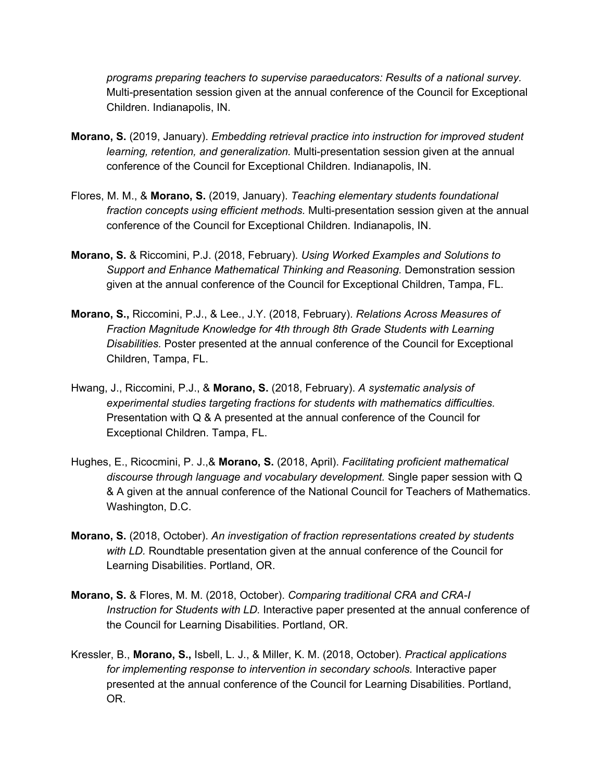*programs preparing teachers to supervise paraeducators: Results of a national survey.* Multi-presentation session given at the annual conference of the Council for Exceptional Children. Indianapolis, IN.

- **Morano, S.** (2019, January). *Embedding retrieval practice into instruction for improved student learning, retention, and generalization.* Multi-presentation session given at the annual conference of the Council for Exceptional Children. Indianapolis, IN.
- Flores, M. M., & **Morano, S.** (2019, January). *Teaching elementary students foundational fraction concepts using efficient methods.* Multi-presentation session given at the annual conference of the Council for Exceptional Children. Indianapolis, IN.
- **Morano, S.** & Riccomini, P.J. (2018, February). *Using Worked Examples and Solutions to Support and Enhance Mathematical Thinking and Reasoning.* Demonstration session given at the annual conference of the Council for Exceptional Children, Tampa, FL.
- **Morano, S.,** Riccomini, P.J., & Lee., J.Y. (2018, February). *Relations Across Measures of Fraction Magnitude Knowledge for 4th through 8th Grade Students with Learning Disabilities.* Poster presented at the annual conference of the Council for Exceptional Children, Tampa, FL.
- Hwang, J., Riccomini, P.J., & **Morano, S.** (2018, February). *A systematic analysis of experimental studies targeting fractions for students with mathematics difficulties.* Presentation with Q & A presented at the annual conference of the Council for Exceptional Children. Tampa, FL.
- Hughes, E., Ricocmini, P. J.,& **Morano, S.** (2018, April). *Facilitating proficient mathematical discourse through language and vocabulary development.* Single paper session with Q & A given at the annual conference of the National Council for Teachers of Mathematics. Washington, D.C.
- **Morano, S.** (2018, October). *An investigation of fraction representations created by students with LD.* Roundtable presentation given at the annual conference of the Council for Learning Disabilities. Portland, OR.
- **Morano, S.** & Flores, M. M. (2018, October). *Comparing traditional CRA and CRA-I Instruction for Students with LD.* Interactive paper presented at the annual conference of the Council for Learning Disabilities. Portland, OR.
- Kressler, B., **Morano, S.,** Isbell, L. J., & Miller, K. M. (2018, October). *Practical applications for implementing response to intervention in secondary schools.* Interactive paper presented at the annual conference of the Council for Learning Disabilities. Portland, OR.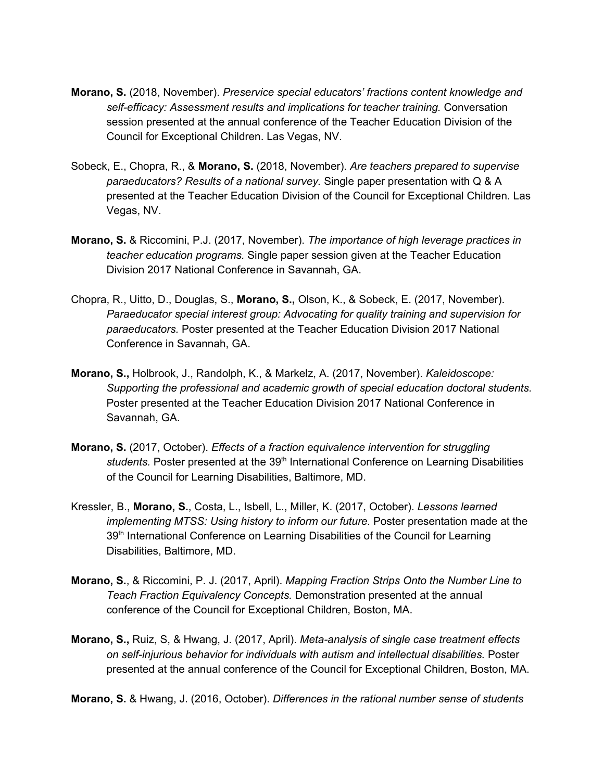- **Morano, S.** (2018, November). *Preservice special educators' fractions content knowledge and self-efficacy: Assessment results and implications for teacher training.* Conversation session presented at the annual conference of the Teacher Education Division of the Council for Exceptional Children. Las Vegas, NV.
- Sobeck, E., Chopra, R., & **Morano, S.** (2018, November). *Are teachers prepared to supervise paraeducators? Results of a national survey.* Single paper presentation with Q & A presented at the Teacher Education Division of the Council for Exceptional Children. Las Vegas, NV.
- **Morano, S.** & Riccomini, P.J. (2017, November). *The importance of high leverage practices in teacher education programs.* Single paper session given at the Teacher Education Division 2017 National Conference in Savannah, GA.
- Chopra, R., Uitto, D., Douglas, S., **Morano, S.,** Olson, K., & Sobeck, E. (2017, November). *Paraeducator special interest group: Advocating for quality training and supervision for paraeducators.* Poster presented at the Teacher Education Division 2017 National Conference in Savannah, GA.
- **Morano, S.,** Holbrook, J., Randolph, K., & Markelz, A. (2017, November). *Kaleidoscope: Supporting the professional and academic growth of special education doctoral students.* Poster presented at the Teacher Education Division 2017 National Conference in Savannah, GA.
- **Morano, S.** (2017, October). *Effects of a fraction equivalence intervention for struggling* students. Poster presented at the 39<sup>th</sup> International Conference on Learning Disabilities of the Council for Learning Disabilities, Baltimore, MD.
- Kressler, B., **Morano, S.**, Costa, L., Isbell, L., Miller, K. (2017, October). *Lessons learned implementing MTSS: Using history to inform our future.* Poster presentation made at the 39<sup>th</sup> International Conference on Learning Disabilities of the Council for Learning Disabilities, Baltimore, MD.
- **Morano, S.**, & Riccomini, P. J. (2017, April). *Mapping Fraction Strips Onto the Number Line to Teach Fraction Equivalency Concepts.* Demonstration presented at the annual conference of the Council for Exceptional Children, Boston, MA.
- **Morano, S.,** Ruiz, S, & Hwang, J. (2017, April). *Meta-analysis of single case treatment effects on self-injurious behavior for individuals with autism and intellectual disabilities.* Poster presented at the annual conference of the Council for Exceptional Children, Boston, MA.

**Morano, S.** & Hwang, J. (2016, October). *Differences in the rational number sense of students*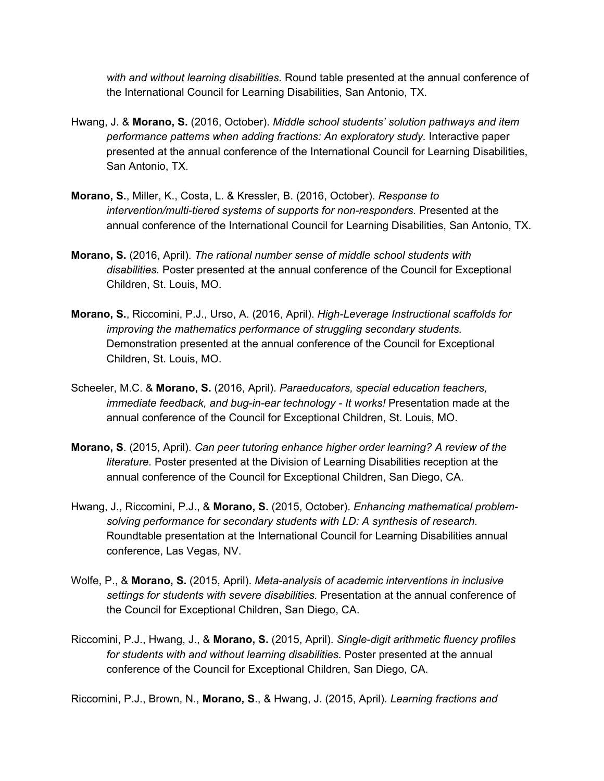*with and without learning disabilities.* Round table presented at the annual conference of the International Council for Learning Disabilities, San Antonio, TX.

- Hwang, J. & **Morano, S.** (2016, October). *Middle school students' solution pathways and item performance patterns when adding fractions: An exploratory study.* Interactive paper presented at the annual conference of the International Council for Learning Disabilities, San Antonio, TX.
- **Morano, S.**, Miller, K., Costa, L. & Kressler, B. (2016, October). *Response to intervention/multi-tiered systems of supports for non-responders.* Presented at the annual conference of the International Council for Learning Disabilities, San Antonio, TX.
- **Morano, S.** (2016, April). *The rational number sense of middle school students with disabilities.* Poster presented at the annual conference of the Council for Exceptional Children, St. Louis, MO.
- **Morano, S.**, Riccomini, P.J., Urso, A. (2016, April). *High-Leverage Instructional scaffolds for improving the mathematics performance of struggling secondary students.* Demonstration presented at the annual conference of the Council for Exceptional Children, St. Louis, MO.
- Scheeler, M.C. & **Morano, S.** (2016, April). *Paraeducators, special education teachers, immediate feedback, and bug-in-ear technology - It works!* Presentation made at the annual conference of the Council for Exceptional Children, St. Louis, MO.
- **Morano, S**. (2015, April). *Can peer tutoring enhance higher order learning? A review of the literature.* Poster presented at the Division of Learning Disabilities reception at the annual conference of the Council for Exceptional Children, San Diego, CA.
- Hwang, J., Riccomini, P.J., & **Morano, S.** (2015, October). *Enhancing mathematical problemsolving performance for secondary students with LD: A synthesis of research.* Roundtable presentation at the International Council for Learning Disabilities annual conference, Las Vegas, NV.
- Wolfe, P., & **Morano, S.** (2015, April). *Meta-analysis of academic interventions in inclusive settings for students with severe disabilities.* Presentation at the annual conference of the Council for Exceptional Children, San Diego, CA.
- Riccomini, P.J., Hwang, J., & **Morano, S.** (2015, April). *Single-digit arithmetic fluency profiles for students with and without learning disabilities.* Poster presented at the annual conference of the Council for Exceptional Children, San Diego, CA.

Riccomini, P.J., Brown, N., **Morano, S**., & Hwang, J. (2015, April). *Learning fractions and*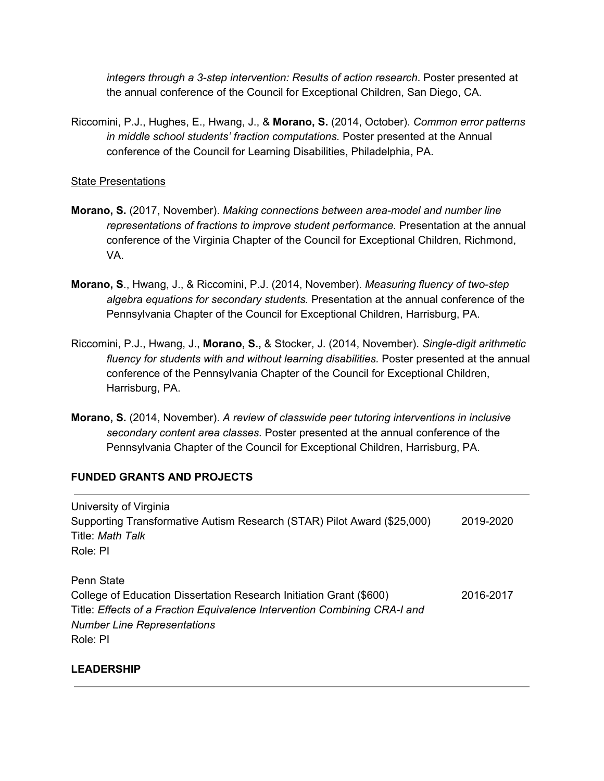*integers through a 3-step intervention: Results of action research*. Poster presented at the annual conference of the Council for Exceptional Children, San Diego, CA.

Riccomini, P.J., Hughes, E., Hwang, J., & **Morano, S.** (2014, October). *Common error patterns in middle school students' fraction computations.* Poster presented at the Annual conference of the Council for Learning Disabilities, Philadelphia, PA.

## State Presentations

- **Morano, S.** (2017, November). *Making connections between area-model and number line representations of fractions to improve student performance.* Presentation at the annual conference of the Virginia Chapter of the Council for Exceptional Children, Richmond, VA.
- **Morano, S**., Hwang, J., & Riccomini, P.J. (2014, November). *Measuring fluency of two-step algebra equations for secondary students.* Presentation at the annual conference of the Pennsylvania Chapter of the Council for Exceptional Children, Harrisburg, PA.
- Riccomini, P.J., Hwang, J., **Morano, S.,** & Stocker, J. (2014, November). *Single-digit arithmetic fluency for students with and without learning disabilities.* Poster presented at the annual conference of the Pennsylvania Chapter of the Council for Exceptional Children, Harrisburg, PA.
- **Morano, S.** (2014, November). *A review of classwide peer tutoring interventions in inclusive secondary content area classes.* Poster presented at the annual conference of the Pennsylvania Chapter of the Council for Exceptional Children, Harrisburg, PA.

## **FUNDED GRANTS AND PROJECTS**

| University of Virginia                                                    |           |
|---------------------------------------------------------------------------|-----------|
| Supporting Transformative Autism Research (STAR) Pilot Award (\$25,000)   | 2019-2020 |
| Title: Math Talk                                                          |           |
| Role: PI                                                                  |           |
| <b>Penn State</b>                                                         |           |
| College of Education Dissertation Research Initiation Grant (\$600)       | 2016-2017 |
| Title: Effects of a Fraction Equivalence Intervention Combining CRA-I and |           |
| <b>Number Line Representations</b>                                        |           |
| Role: PI                                                                  |           |
|                                                                           |           |

## **LEADERSHIP**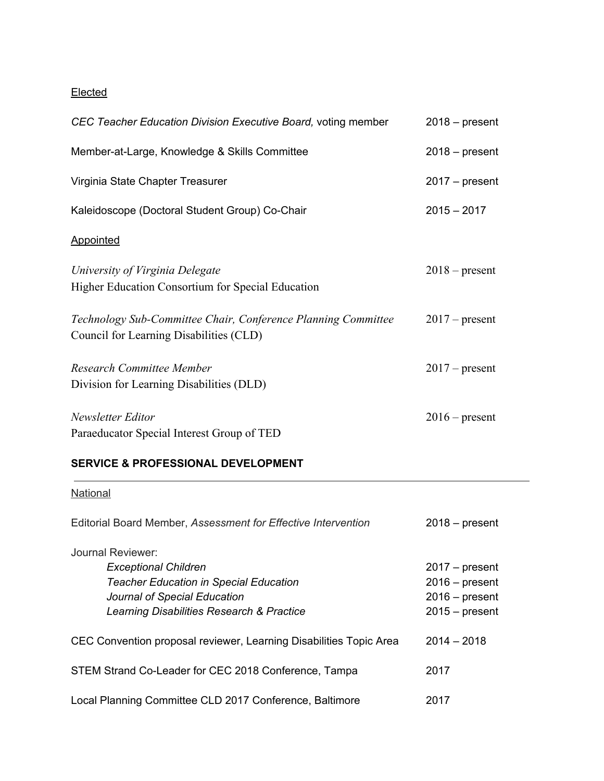## **Elected**

| CEC Teacher Education Division Executive Board, voting member                                            | $2018 - present$ |
|----------------------------------------------------------------------------------------------------------|------------------|
| Member-at-Large, Knowledge & Skills Committee                                                            | $2018 - present$ |
| Virginia State Chapter Treasurer                                                                         | $2017 - present$ |
| Kaleidoscope (Doctoral Student Group) Co-Chair                                                           | $2015 - 2017$    |
| <b>Appointed</b>                                                                                         |                  |
| University of Virginia Delegate<br>Higher Education Consortium for Special Education                     | $2018$ – present |
| Technology Sub-Committee Chair, Conference Planning Committee<br>Council for Learning Disabilities (CLD) | $2017$ – present |
| Research Committee Member<br>Division for Learning Disabilities (DLD)                                    | $2017$ – present |
| Newsletter Editor<br>Paraeducator Special Interest Group of TED                                          | $2016$ – present |

# **SERVICE & PROFESSIONAL DEVELOPMENT**

| Editorial Board Member, Assessment for Effective Intervention      | $2018 - present$ |
|--------------------------------------------------------------------|------------------|
| Journal Reviewer:                                                  |                  |
| <b>Exceptional Children</b>                                        | $2017$ – present |
| <b>Teacher Education in Special Education</b>                      | $2016$ – present |
| Journal of Special Education                                       | $2016$ – present |
| Learning Disabilities Research & Practice                          | $2015 - present$ |
| CEC Convention proposal reviewer, Learning Disabilities Topic Area | $2014 - 2018$    |
| STEM Strand Co-Leader for CEC 2018 Conference, Tampa               | 2017             |
| Local Planning Committee CLD 2017 Conference, Baltimore            | 2017             |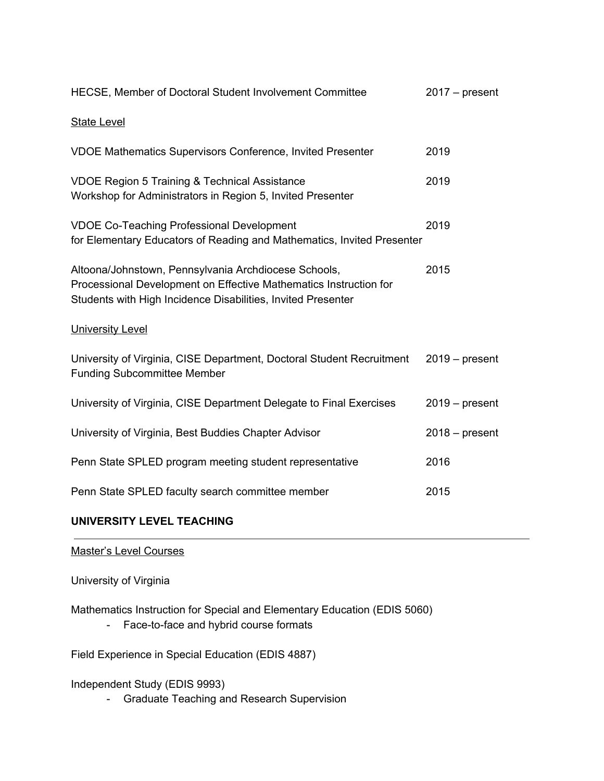| HECSE, Member of Doctoral Student Involvement Committee                                                                                                                                   | $2017 - present$ |
|-------------------------------------------------------------------------------------------------------------------------------------------------------------------------------------------|------------------|
| <b>State Level</b>                                                                                                                                                                        |                  |
| VDOE Mathematics Supervisors Conference, Invited Presenter                                                                                                                                | 2019             |
| <b>VDOE Region 5 Training &amp; Technical Assistance</b><br>Workshop for Administrators in Region 5, Invited Presenter                                                                    | 2019             |
| <b>VDOE Co-Teaching Professional Development</b><br>for Elementary Educators of Reading and Mathematics, Invited Presenter                                                                | 2019             |
| Altoona/Johnstown, Pennsylvania Archdiocese Schools,<br>Processional Development on Effective Mathematics Instruction for<br>Students with High Incidence Disabilities, Invited Presenter | 2015             |
| <b>University Level</b>                                                                                                                                                                   |                  |
| University of Virginia, CISE Department, Doctoral Student Recruitment<br><b>Funding Subcommittee Member</b>                                                                               | $2019$ – present |
| University of Virginia, CISE Department Delegate to Final Exercises                                                                                                                       | $2019 - present$ |
| University of Virginia, Best Buddies Chapter Advisor                                                                                                                                      | $2018 - present$ |
| Penn State SPLED program meeting student representative                                                                                                                                   | 2016             |
| Penn State SPLED faculty search committee member                                                                                                                                          | 2015             |

# **UNIVERSITY LEVEL TEACHING**

Master's Level Courses

University of Virginia

Mathematics Instruction for Special and Elementary Education (EDIS 5060)

- Face-to-face and hybrid course formats

Field Experience in Special Education (EDIS 4887)

Independent Study (EDIS 9993)

- Graduate Teaching and Research Supervision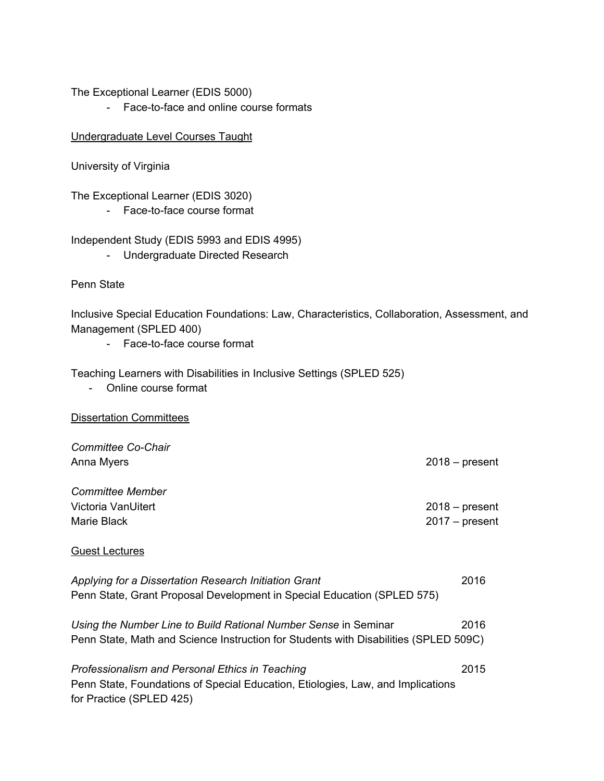The Exceptional Learner (EDIS 5000)

- Face-to-face and online course formats

| Undergraduate Level Courses Taught |
|------------------------------------|
|------------------------------------|

University of Virginia

The Exceptional Learner (EDIS 3020)

- Face-to-face course format

Independent Study (EDIS 5993 and EDIS 4995)

- Undergraduate Directed Research

Penn State

Inclusive Special Education Foundations: Law, Characteristics, Collaboration, Assessment, and Management (SPLED 400)

- Face-to-face course format

Teaching Learners with Disabilities in Inclusive Settings (SPLED 525)

- Online course format

Dissertation Committees

| Committee Co-Chair                                                                                                                                             |                                      |
|----------------------------------------------------------------------------------------------------------------------------------------------------------------|--------------------------------------|
| Anna Myers                                                                                                                                                     | $2018 - present$                     |
| <b>Committee Member</b><br>Victoria VanUitert<br>Marie Black                                                                                                   | $2018 - present$<br>$2017 - present$ |
| <b>Guest Lectures</b>                                                                                                                                          |                                      |
| Applying for a Dissertation Research Initiation Grant<br>Penn State, Grant Proposal Development in Special Education (SPLED 575)                               | 2016                                 |
| Using the Number Line to Build Rational Number Sense in Seminar<br>Penn State, Math and Science Instruction for Students with Disabilities (SPLED 509C)        | 2016                                 |
| Professionalism and Personal Ethics in Teaching<br>Penn State, Foundations of Special Education, Etiologies, Law, and Implications<br>for Practice (SPLED 425) | 2015                                 |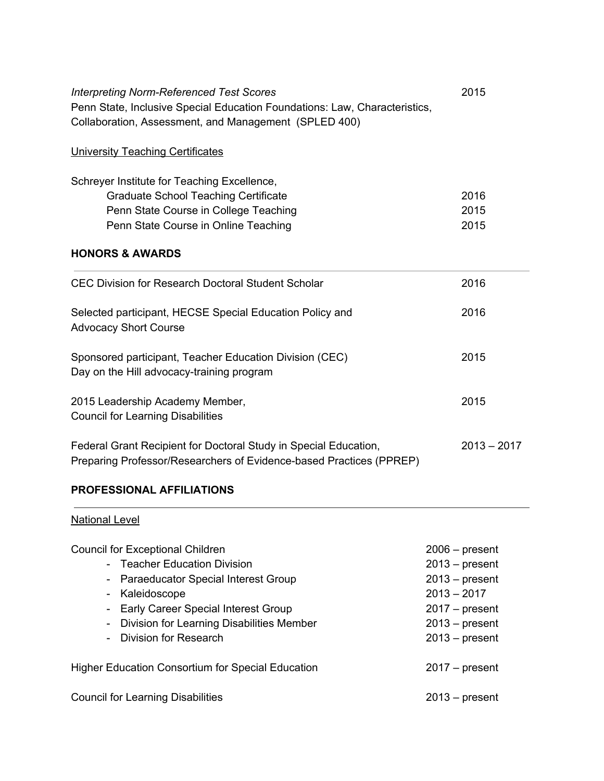| <b>Interpreting Norm-Referenced Test Scores</b>                                                                                         | 2015             |
|-----------------------------------------------------------------------------------------------------------------------------------------|------------------|
| Penn State, Inclusive Special Education Foundations: Law, Characteristics,                                                              |                  |
| Collaboration, Assessment, and Management (SPLED 400)                                                                                   |                  |
| <b>University Teaching Certificates</b>                                                                                                 |                  |
| Schreyer Institute for Teaching Excellence,                                                                                             |                  |
| <b>Graduate School Teaching Certificate</b>                                                                                             | 2016             |
| Penn State Course in College Teaching                                                                                                   | 2015             |
| Penn State Course in Online Teaching                                                                                                    | 2015             |
| <b>HONORS &amp; AWARDS</b>                                                                                                              |                  |
| <b>CEC Division for Research Doctoral Student Scholar</b>                                                                               | 2016             |
| Selected participant, HECSE Special Education Policy and<br><b>Advocacy Short Course</b>                                                | 2016             |
| Sponsored participant, Teacher Education Division (CEC)<br>Day on the Hill advocacy-training program                                    | 2015             |
| 2015 Leadership Academy Member,                                                                                                         | 2015             |
| <b>Council for Learning Disabilities</b>                                                                                                |                  |
| Federal Grant Recipient for Doctoral Study in Special Education,<br>Preparing Professor/Researchers of Evidence-based Practices (PPREP) | $2013 - 2017$    |
| <b>PROFESSIONAL AFFILIATIONS</b>                                                                                                        |                  |
| <b>National Level</b>                                                                                                                   |                  |
| <b>Council for Exceptional Children</b>                                                                                                 | $2006$ – present |
| - Teacher Education Division                                                                                                            | $2013$ – present |
| <b>Paraeducator Special Interest Group</b>                                                                                              | $2013$ – present |
| Kaleidoscope                                                                                                                            | $2013 - 2017$    |
| <b>Early Career Special Interest Group</b><br>$\overline{\phantom{a}}$                                                                  | $2017 - present$ |
| Division for Learning Disabilities Member                                                                                               | $2013$ – present |
| Division for Research                                                                                                                   | $2013 - present$ |
| <b>Higher Education Consortium for Special Education</b>                                                                                | $2017 - present$ |

Council for Learning Disabilities 2013 – present